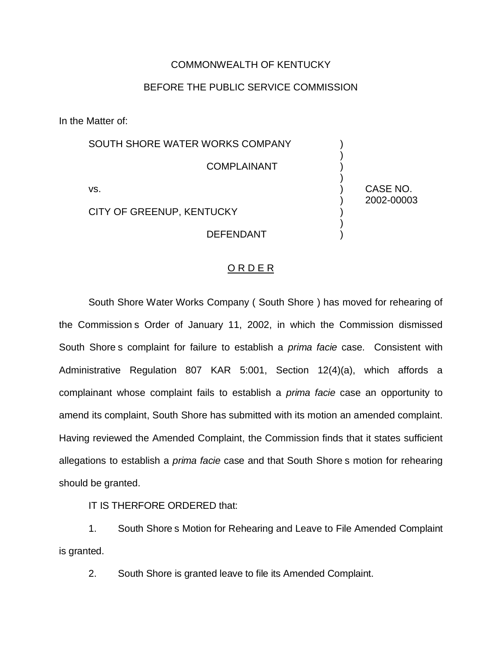## COMMONWEALTH OF KENTUCKY

## BEFORE THE PUBLIC SERVICE COMMISSION

In the Matter of:

| SOUTH SHORE WATER WORKS COMPANY |                        |
|---------------------------------|------------------------|
| <b>COMPLAINANT</b>              |                        |
| VS.                             | CASE NO.<br>2002-00003 |
| CITY OF GREENUP, KENTUCKY       |                        |
| <b>DEFENDANT</b>                |                        |

#### O R D E R

South Shore Water Works Company ( South Shore ) has moved for rehearing of the Commission s Order of January 11, 2002, in which the Commission dismissed South Shore s complaint for failure to establish a *prima facie* case. Consistent with Administrative Regulation 807 KAR 5:001, Section 12(4)(a), which affords a complainant whose complaint fails to establish a *prima facie* case an opportunity to amend its complaint, South Shore has submitted with its motion an amended complaint. Having reviewed the Amended Complaint, the Commission finds that it states sufficient allegations to establish a *prima facie* case and that South Shore s motion for rehearing should be granted.

IT IS THERFORE ORDERED that:

1. South Shore s Motion for Rehearing and Leave to File Amended Complaint is granted.

2. South Shore is granted leave to file its Amended Complaint.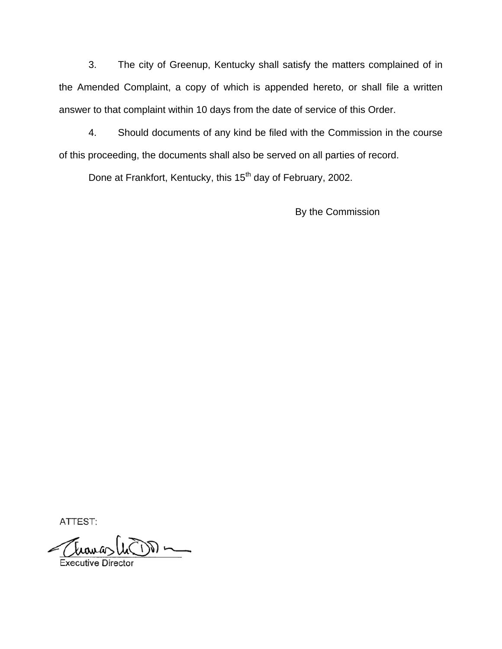3. The city of Greenup, Kentucky shall satisfy the matters complained of in the Amended Complaint, a copy of which is appended hereto, or shall file a written answer to that complaint within 10 days from the date of service of this Order.

4. Should documents of any kind be filed with the Commission in the course of this proceeding, the documents shall also be served on all parties of record.

Done at Frankfort, Kentucky, this 15<sup>th</sup> day of February, 2002.

By the Commission

ATTEST:

tranas la DD m

Executive Director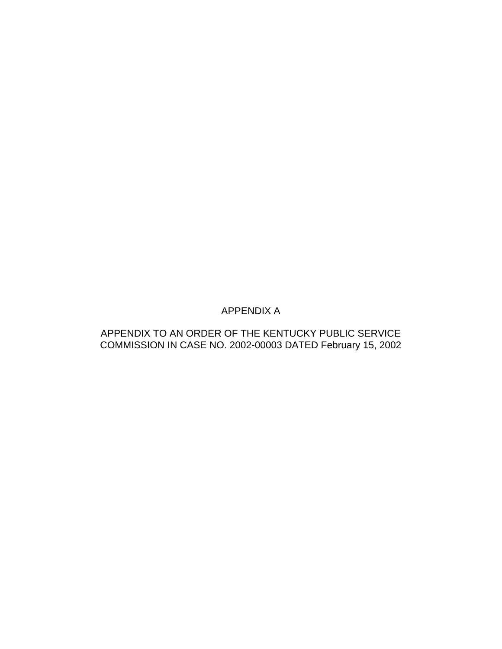# APPENDIX A

# APPENDIX TO AN ORDER OF THE KENTUCKY PUBLIC SERVICE COMMISSION IN CASE NO. 2002-00003 DATED February 15, 2002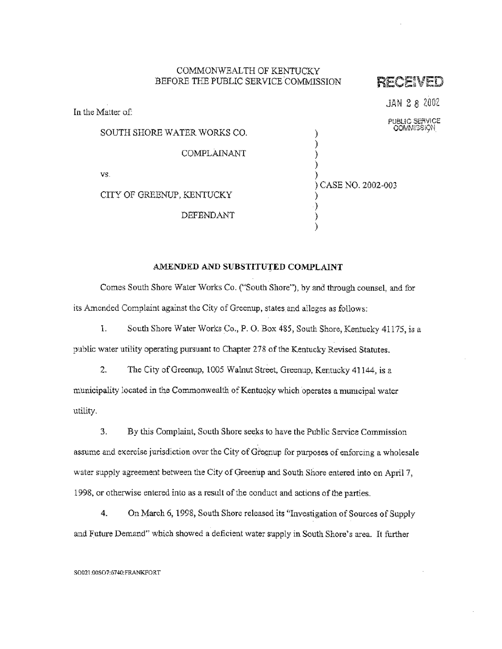#### COMMONWEALTH OF KENTUCKY BEFORE THE PUBLIC SERVICE COMMISSION

In the Matter of:

RECENED

JAN 2 8 2002

| SOUTH SHORE WATER WORKS CO. | PUBLIC SERVICE<br><b>COMMISSION</b> |
|-----------------------------|-------------------------------------|
| COMPLAINANT                 |                                     |
| VS.                         | ) CASE NO. 2002-003                 |
| CITY OF GREENUP, KENTUCKY   |                                     |

DEFENDANT

#### AMENDED AND SUBSTITUTED COMPLAINT

Comes South Shore Water Works Co. ("South Shore"), by and through counsel, and for its Amended Complaint against the City of Greenup, states and alleges as follows:

South Shore Water Works Co., P. O. Box 485, South Shore, Kentucky 41175, is a L. public water utility operating pursuant to Chapter 278 of the Kentucky Revised Statutes.

2. The City of Greenup, 1005 Walnut Street, Greenup, Kentucky 41144, is a municipality located in the Commonwealth of Kentucky which operates a municipal water utility.

By this Complaint, South Shore seeks to have the Public Service Commission 3. assume and exercise jurisdiction over the City of Greenup for purposes of enforcing a wholesale water supply agreement between the City of Greenup and South Shore entered into on April 7, 1998, or otherwise entered into as a result of the conduct and actions of the parties.

On March 6, 1998, South Shore released its "Investigation of Sources of Supply  $4.$ and Future Demand" which showed a deficient water supply in South Shore's area. It further

#### SO021:00SO7:6740:FRANKFORT

 $\begin{smallmatrix} \cdot \end{smallmatrix}$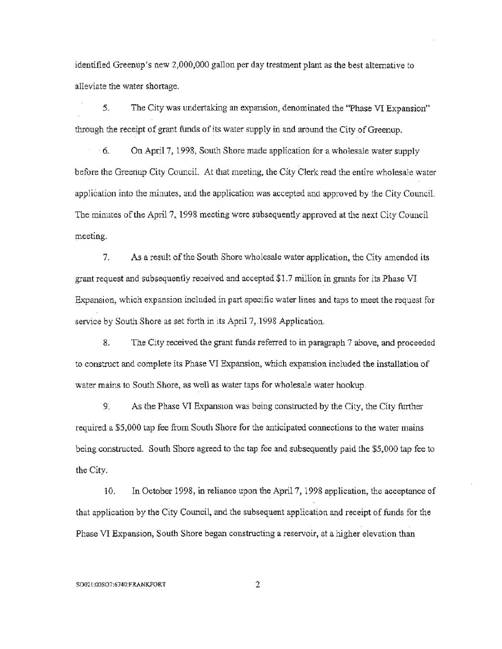identified Greenup's new 2,000,000 gallon per day treatment plant as the best alternative to alleviate the water shortage.

5. The City was undertaking an expansion, denominated the "Phase VI Expansion" through the receipt of grant funds of its water supply in and around the City of Greenup.

 $\cdot$  6. On April 7, 1998, South Shore made application for a wholesale water supply before the Greenup City Council. At that meeting, the City Clerk read the entire wholesale water application into the minutes, and the application was accepted and approved by the City Council. The minutes of the April 7, 1998 meeting were subsequently approved at the next City Council meeting.

7. As a result of the South Shore wholesale water application, the City amended its grant request and subsequently received and accepted \$1.7 million in grants for its Phase VI Expansion, which expansion included in part specific water lines and taps to meet the request for service by South Shore as set forth in its April 7, 1998 Application.

8. The City received the grant funds referred to in paragraph 7 above, and proceeded to construct and complete its Phase VI Expansion, which expansion included the installation of water mains to South Shore, as well as water taps for wholesale water hookup.

As the Phase VI Expansion was being constructed by the City, the City further 9. required a \$5,000 tap fee from South Shore for the anticipated connections to the water mains being constructed. South Shore agreed to the tap fee and subsequently paid the \$5,000 tap fee to the City.

10. In October 1998, in reliance upon the April 7, 1998 application, the acceptance of that application by the City Council, and the subsequent application and receipt of funds for the Phase VI Expansion, South Shore began constructing a reservoir, at a higher elevation than

#### SO021:00SO7:6740:FRANKFORT

 $\overline{c}$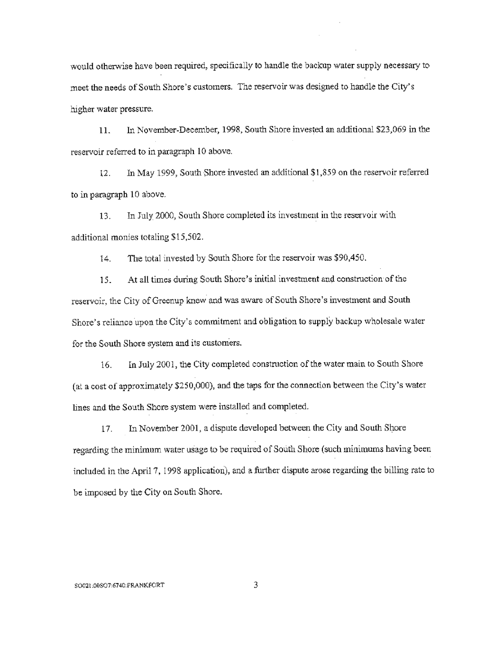would otherwise have been required, specifically to handle the backup water supply necessary to meet the needs of South Shore's customers. The reservoir was designed to handle the City's higher water pressure.

In November-December, 1998, South Shore invested an additional \$23,069 in the 11. reservoir referred to in paragraph 10 above.

In May 1999. South Shore invested an additional \$1,859 on the reservoir referred  $12.$ to in paragraph 10 above.

In July 2000, South Shore completed its investment in the reservoir with 13. additional monies totaling \$15,502.

The total invested by South Shore for the reservoir was \$90,450.  $14.$ 

At all times during South Shore's initial investment and construction of the 15. reservoir, the City of Greenup knew and was aware of South Shore's investment and South Shore's reliance upon the City's commitment and obligation to supply backup wholesale water for the South Shore system and its customers.

In July 2001, the City completed construction of the water main to South Shore 16. (at a cost of approximately \$250,000), and the taps for the connection between the City's water lines and the South Shore system were installed and completed.

In November 2001, a dispute developed between the City and South Shore 17. regarding the minimum water usage to be required of South Shore (such minimums having been included in the April 7, 1998 application), and a further dispute arose regarding the billing rate to be imposed by the City on South Shore.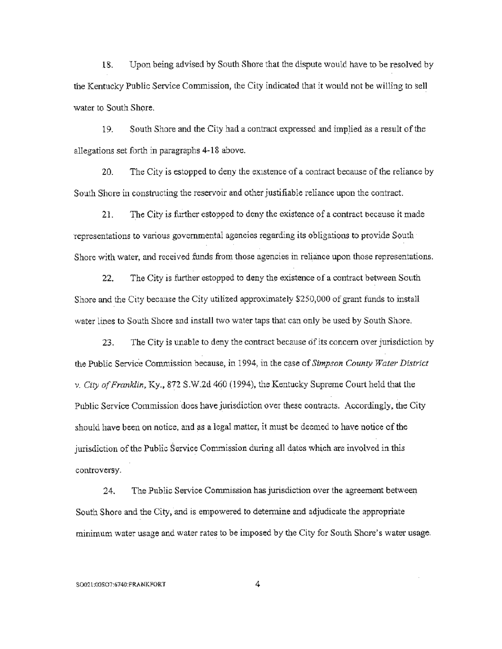18. Upon being advised by South Shore that the dispute would have to be resolved by the Kentucky Public Service Commission, the City indicated that it would not be willing to sell water to South Shore.

19. South Shore and the City had a contract expressed and implied as a result of the allegations set forth in paragraphs 4-18 above.

20. The City is estopped to deny the existence of a contract because of the reliance by South Shore in constructing the reservoir and other justifiable reliance upon the contract.

The City is further estopped to deny the existence of a contract because it made  $21.$ representations to various governmental agencies regarding its obligations to provide South Shore with water, and received funds from those agencies in reliance upon those representations.

The City is further estopped to deny the existence of a contract between South 22. Shore and the City because the City utilized approximately \$250,000 of grant funds to install water lines to South Shore and install two water taps that can only be used by South Shore.

The City is unable to deny the contract because of its concern over jurisdiction by 23. the Public Service Commission because, in 1994, in the case of Simpson County Water District v. City of Franklin, Ky., 872 S.W.2d 460 (1994), the Kentucky Supreme Court held that the Public Service Commission does have jurisdiction over these contracts. Accordingly, the City should have been on notice, and as a legal matter, it must be deemed to have notice of the jurisdiction of the Public Service Commission during all dates which are involved in this controversy.

The Public Service Commission has jurisdiction over the agreement between 24. South Shore and the City, and is empowered to determine and adjudicate the appropriate minimum water usage and water rates to be imposed by the City for South Shore's water usage.

4